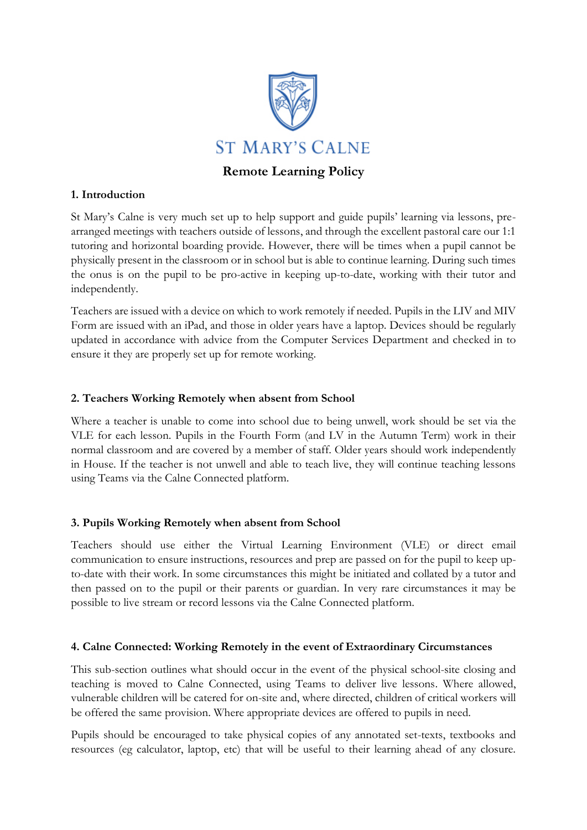

# **Remote Learning Policy**

### **1. Introduction**

St Mary's Calne is very much set up to help support and guide pupils' learning via lessons, prearranged meetings with teachers outside of lessons, and through the excellent pastoral care our 1:1 tutoring and horizontal boarding provide. However, there will be times when a pupil cannot be physically present in the classroom or in school but is able to continue learning. During such times the onus is on the pupil to be pro-active in keeping up-to-date, working with their tutor and independently.

Teachers are issued with a device on which to work remotely if needed. Pupils in the LIV and MIV Form are issued with an iPad, and those in older years have a laptop. Devices should be regularly updated in accordance with advice from the Computer Services Department and checked in to ensure it they are properly set up for remote working.

### **2. Teachers Working Remotely when absent from School**

Where a teacher is unable to come into school due to being unwell, work should be set via the VLE for each lesson. Pupils in the Fourth Form (and LV in the Autumn Term) work in their normal classroom and are covered by a member of staff. Older years should work independently in House. If the teacher is not unwell and able to teach live, they will continue teaching lessons using Teams via the Calne Connected platform.

#### **3. Pupils Working Remotely when absent from School**

Teachers should use either the Virtual Learning Environment (VLE) or direct email communication to ensure instructions, resources and prep are passed on for the pupil to keep upto-date with their work. In some circumstances this might be initiated and collated by a tutor and then passed on to the pupil or their parents or guardian. In very rare circumstances it may be possible to live stream or record lessons via the Calne Connected platform.

#### **4. Calne Connected: Working Remotely in the event of Extraordinary Circumstances**

This sub-section outlines what should occur in the event of the physical school-site closing and teaching is moved to Calne Connected, using Teams to deliver live lessons. Where allowed, vulnerable children will be catered for on-site and, where directed, children of critical workers will be offered the same provision. Where appropriate devices are offered to pupils in need.

Pupils should be encouraged to take physical copies of any annotated set-texts, textbooks and resources (eg calculator, laptop, etc) that will be useful to their learning ahead of any closure.